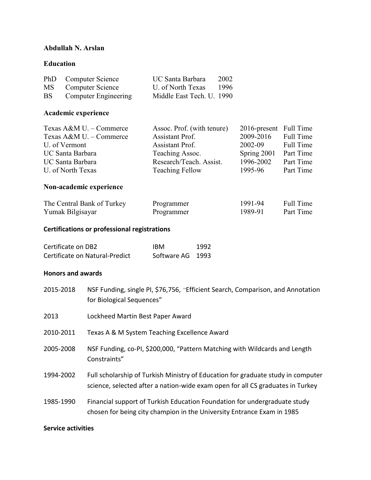## **Abdullah N. Arslan**

### **Education**

|           | PhD Computer Science        | UC Santa Barbara          | 2002  |
|-----------|-----------------------------|---------------------------|-------|
| MS        | Computer Science            | U. of North Texas         | -1996 |
| <b>BS</b> | <b>Computer Engineering</b> | Middle East Tech. U. 1990 |       |

# **Academic experience**

| Assoc. Prof. (with tenure) |             |                        |
|----------------------------|-------------|------------------------|
| Assistant Prof.            | 2009-2016   | Full Time              |
| Assistant Prof.            | 2002-09     | Full Time              |
| Teaching Assoc.            | Spring 2001 | Part Time              |
| Research/Teach. Assist.    | 1996-2002   | Part Time              |
| <b>Teaching Fellow</b>     | 1995-96     | Part Time              |
|                            |             | 2016-present Full Time |

### **Non-academic experience**

| The Central Bank of Turkey | Programmer | 1991-94 | Full Time |
|----------------------------|------------|---------|-----------|
| Yumak Bilgisayar           | Programmer | 1989-91 | Part Time |

### **Certifications or professional registrations**

| Certificate on DB2             | IBM              | 1992 |
|--------------------------------|------------------|------|
| Certificate on Natural-Predict | Software AG 1993 |      |

#### **Honors and awards**

| 2015-2018 | NSF Funding, single PI, \$76,756, "Efficient Search, Comparison, and Annotation<br>for Biological Sequences"                                                       |
|-----------|--------------------------------------------------------------------------------------------------------------------------------------------------------------------|
| 2013      | Lockheed Martin Best Paper Award                                                                                                                                   |
| 2010-2011 | Texas A & M System Teaching Excellence Award                                                                                                                       |
| 2005-2008 | NSF Funding, co-PI, \$200,000, "Pattern Matching with Wildcards and Length<br>Constraints"                                                                         |
| 1994-2002 | Full scholarship of Turkish Ministry of Education for graduate study in computer<br>science, selected after a nation-wide exam open for all CS graduates in Turkey |
| 1985-1990 | Financial support of Turkish Education Foundation for undergraduate study<br>chosen for being city champion in the University Entrance Exam in 1985                |

### **Service activities**